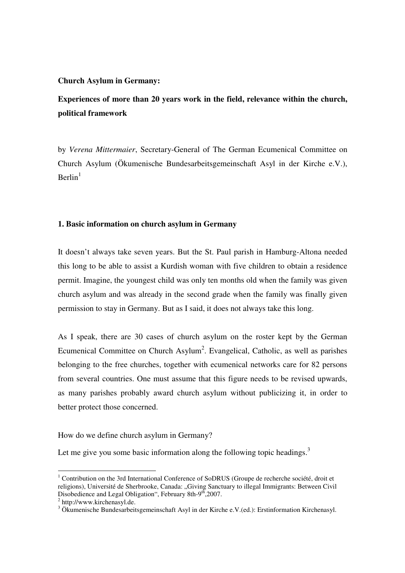#### **Church Asylum in Germany:**

# **Experiences of more than 20 years work in the field, relevance within the church, political framework**

by *Verena Mittermaier*, Secretary-General of The German Ecumenical Committee on Church Asylum (Ökumenische Bundesarbeitsgemeinschaft Asyl in der Kirche e.V.),  $\mathrm{Berlin}^1$ 

#### **1. Basic information on church asylum in Germany**

It doesn't always take seven years. But the St. Paul parish in Hamburg-Altona needed this long to be able to assist a Kurdish woman with five children to obtain a residence permit. Imagine, the youngest child was only ten months old when the family was given church asylum and was already in the second grade when the family was finally given permission to stay in Germany. But as I said, it does not always take this long.

As I speak, there are 30 cases of church asylum on the roster kept by the German Ecumenical Committee on Church Asylum<sup>2</sup>. Evangelical, Catholic, as well as parishes belonging to the free churches, together with ecumenical networks care for 82 persons from several countries. One must assume that this figure needs to be revised upwards, as many parishes probably award church asylum without publicizing it, in order to better protect those concerned.

How do we define church asylum in Germany?

Let me give you some basic information along the following topic headings. $3$ 

 1 Contribution on the 3rd International Conference of SoDRUS (Groupe de recherche société, droit et religions), Université de Sherbrooke, Canada: "Giving Sanctuary to illegal Immigrants: Between Civil Disobedience and Legal Obligation", February 8th-9<sup>th</sup>,2007.

<sup>&</sup>lt;sup>2</sup> http://www.kirchenasyl.de.

<sup>&</sup>lt;sup>3</sup> Ökumenische Bundesarbeitsgemeinschaft Asyl in der Kirche e.V.(ed.): Erstinformation Kirchenasyl.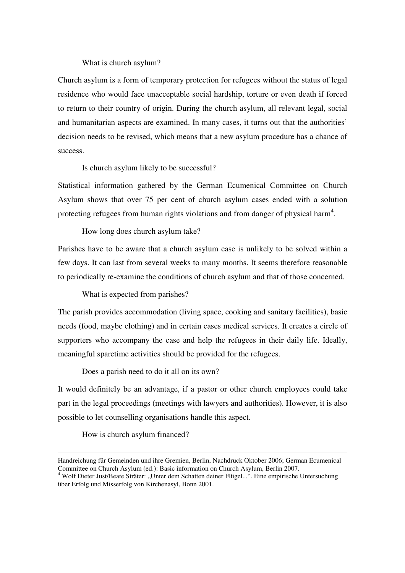#### What is church asylum?

Church asylum is a form of temporary protection for refugees without the status of legal residence who would face unacceptable social hardship, torture or even death if forced to return to their country of origin. During the church asylum, all relevant legal, social and humanitarian aspects are examined. In many cases, it turns out that the authorities' decision needs to be revised, which means that a new asylum procedure has a chance of success.

Is church asylum likely to be successful?

Statistical information gathered by the German Ecumenical Committee on Church Asylum shows that over 75 per cent of church asylum cases ended with a solution protecting refugees from human rights violations and from danger of physical harm<sup>4</sup>.

How long does church asylum take?

Parishes have to be aware that a church asylum case is unlikely to be solved within a few days. It can last from several weeks to many months. It seems therefore reasonable to periodically re-examine the conditions of church asylum and that of those concerned.

What is expected from parishes?

The parish provides accommodation (living space, cooking and sanitary facilities), basic needs (food, maybe clothing) and in certain cases medical services. It creates a circle of supporters who accompany the case and help the refugees in their daily life. Ideally, meaningful sparetime activities should be provided for the refugees.

Does a parish need to do it all on its own?

It would definitely be an advantage, if a pastor or other church employees could take part in the legal proceedings (meetings with lawyers and authorities). However, it is also possible to let counselling organisations handle this aspect.

How is church asylum financed?

<u>.</u>

Handreichung für Gemeinden und ihre Gremien, Berlin, Nachdruck Oktober 2006; German Ecumenical Committee on Church Asylum (ed.): Basic information on Church Asylum, Berlin 2007.

<sup>&</sup>lt;sup>4</sup> Wolf Dieter Just/Beate Sträter: "Unter dem Schatten deiner Flügel...". Eine empirische Untersuchung über Erfolg und Misserfolg von Kirchenasyl, Bonn 2001.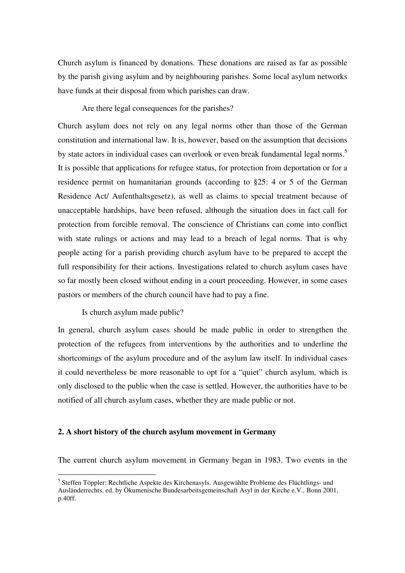Church asylum is financed by donations. These donations are raised as far as possible by the parish giving asylum and by neighbouring parishes. Some local asylum networks have funds at their disposal from which parishes can draw.

Are there legal consequences for the parishes?

Church asylum does not rely on any legal norms other than those of the German constitution and international law. It is, however, based on the assumption that decisions by state actors in individual cases can overlook or even break fundamental legal norms.<sup>5</sup> It is possible that applications for refugee status, for protection from deportation or for a residence permit on humanitarian grounds (according to §25: 4 or 5 of the German Residence Act/ Aufenthaltsgesetz), as well as claims to special treatment because of unacceptable hardships, have been refused, although the situation does in fact call for protection from forcible removal. The conscience of Christians can come into conflict with state rulings or actions and may lead to a breach of legal norms. That is why people acting for a parish providing church asylum have to be prepared to accept the full responsibility for their actions. Investigations related to church asylum cases have so far mostly been closed without ending in a court proceeding. However, in some cases pastors or members of the church council have had to pay a fine.

Is church asylum made public?

 $\overline{a}$ 

In general, church asylum cases should be made public in order to strengthen the protection of the refugees from interventions by the authorities and to underline the shortcomings of the asylum procedure and of the asylum law itself. In individual cases it could nevertheless be more reasonable to opt for a "quiet" church asylum, which is only disclosed to the public when the case is settled. However, the authorities have to be notified of all church asylum cases, whether they are made public or not.

#### **2. A short history of the church asylum movement in Germany**

The current church asylum movement in Germany began in 1983. Two events in the

<sup>&</sup>lt;sup>5</sup> Steffen Töppler: Rechtliche Aspekte des Kirchenasyls. Ausgewählte Probleme des Flüchtlings- und Ausländerrechts, ed. by Ökumenische Bundesarbeitsgemeinschaft Asyl in der Kirche e.V., Bonn 2001, p.40ff.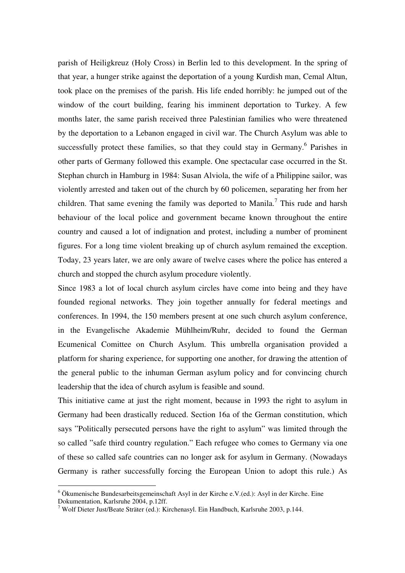parish of Heiligkreuz (Holy Cross) in Berlin led to this development. In the spring of that year, a hunger strike against the deportation of a young Kurdish man, Cemal Altun, took place on the premises of the parish. His life ended horribly: he jumped out of the window of the court building, fearing his imminent deportation to Turkey. A few months later, the same parish received three Palestinian families who were threatened by the deportation to a Lebanon engaged in civil war. The Church Asylum was able to successfully protect these families, so that they could stay in Germany.<sup>6</sup> Parishes in other parts of Germany followed this example. One spectacular case occurred in the St. Stephan church in Hamburg in 1984: Susan Alviola, the wife of a Philippine sailor, was violently arrested and taken out of the church by 60 policemen, separating her from her children. That same evening the family was deported to Manila.<sup>7</sup> This rude and harsh behaviour of the local police and government became known throughout the entire country and caused a lot of indignation and protest, including a number of prominent figures. For a long time violent breaking up of church asylum remained the exception. Today, 23 years later, we are only aware of twelve cases where the police has entered a church and stopped the church asylum procedure violently.

Since 1983 a lot of local church asylum circles have come into being and they have founded regional networks. They join together annually for federal meetings and conferences. In 1994, the 150 members present at one such church asylum conference, in the Evangelische Akademie Mühlheim/Ruhr, decided to found the German Ecumenical Comittee on Church Asylum. This umbrella organisation provided a platform for sharing experience, for supporting one another, for drawing the attention of the general public to the inhuman German asylum policy and for convincing church leadership that the idea of church asylum is feasible and sound.

This initiative came at just the right moment, because in 1993 the right to asylum in Germany had been drastically reduced. Section 16a of the German constitution, which says "Politically persecuted persons have the right to asylum" was limited through the so called "safe third country regulation." Each refugee who comes to Germany via one of these so called safe countries can no longer ask for asylum in Germany. (Nowadays Germany is rather successfully forcing the European Union to adopt this rule.) As

<sup>6</sup> Ökumenische Bundesarbeitsgemeinschaft Asyl in der Kirche e.V.(ed.): Asyl in der Kirche. Eine Dokumentation, Karlsruhe 2004, p.12ff.

<sup>&</sup>lt;sup>7</sup> Wolf Dieter Just/Beate Sträter (ed.): Kirchenasyl. Ein Handbuch, Karlsruhe 2003, p.144.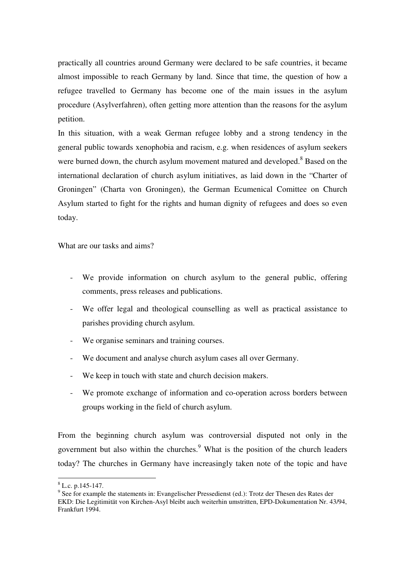practically all countries around Germany were declared to be safe countries, it became almost impossible to reach Germany by land. Since that time, the question of how a refugee travelled to Germany has become one of the main issues in the asylum procedure (Asylverfahren), often getting more attention than the reasons for the asylum petition.

In this situation, with a weak German refugee lobby and a strong tendency in the general public towards xenophobia and racism, e.g. when residences of asylum seekers were burned down, the church asylum movement matured and developed.<sup>8</sup> Based on the international declaration of church asylum initiatives, as laid down in the "Charter of Groningen" (Charta von Groningen), the German Ecumenical Comittee on Church Asylum started to fight for the rights and human dignity of refugees and does so even today.

What are our tasks and aims?

- We provide information on church asylum to the general public, offering comments, press releases and publications.
- We offer legal and theological counselling as well as practical assistance to parishes providing church asylum.
- We organise seminars and training courses.
- We document and analyse church asylum cases all over Germany.
- We keep in touch with state and church decision makers.
- We promote exchange of information and co-operation across borders between groups working in the field of church asylum.

From the beginning church asylum was controversial disputed not only in the government but also within the churches.<sup>9</sup> What is the position of the church leaders today? The churches in Germany have increasingly taken note of the topic and have

 $8$  L.c. p.145-147.

<sup>&</sup>lt;sup>9</sup> See for example the statements in: Evangelischer Pressedienst (ed.): Trotz der Thesen des Rates der EKD: Die Legitimität von Kirchen-Asyl bleibt auch weiterhin umstritten, EPD-Dokumentation Nr. 43/94, Frankfurt 1994.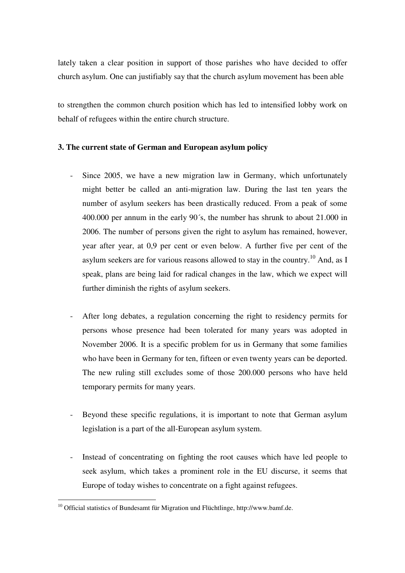lately taken a clear position in support of those parishes who have decided to offer church asylum. One can justifiably say that the church asylum movement has been able

to strengthen the common church position which has led to intensified lobby work on behalf of refugees within the entire church structure.

### **3. The current state of German and European asylum policy**

- Since 2005, we have a new migration law in Germany, which unfortunately might better be called an anti-migration law. During the last ten years the number of asylum seekers has been drastically reduced. From a peak of some 400.000 per annum in the early 90´s, the number has shrunk to about 21.000 in 2006. The number of persons given the right to asylum has remained, however, year after year, at 0,9 per cent or even below. A further five per cent of the asylum seekers are for various reasons allowed to stay in the country.<sup>10</sup> And, as I speak, plans are being laid for radical changes in the law, which we expect will further diminish the rights of asylum seekers.
- After long debates, a regulation concerning the right to residency permits for persons whose presence had been tolerated for many years was adopted in November 2006. It is a specific problem for us in Germany that some families who have been in Germany for ten, fifteen or even twenty years can be deported. The new ruling still excludes some of those 200.000 persons who have held temporary permits for many years.
- Beyond these specific regulations, it is important to note that German asylum legislation is a part of the all-European asylum system.
- Instead of concentrating on fighting the root causes which have led people to seek asylum, which takes a prominent role in the EU discurse, it seems that Europe of today wishes to concentrate on a fight against refugees.

 $10$  Official statistics of Bundesamt für Migration und Flüchtlinge, http://www.bamf.de.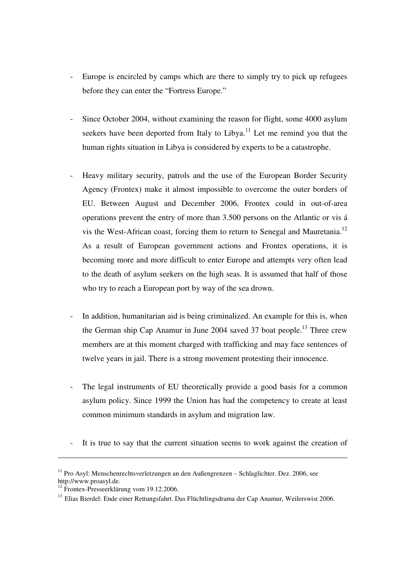- Europe is encircled by camps which are there to simply try to pick up refugees before they can enter the "Fortress Europe."
- Since October 2004, without examining the reason for flight, some 4000 asylum seekers have been deported from Italy to Libya.<sup>11</sup> Let me remind you that the human rights situation in Libya is considered by experts to be a catastrophe.
- Heavy military security, patrols and the use of the European Border Security Agency (Frontex) make it almost impossible to overcome the outer borders of EU. Between August and December 2006, Frontex could in out-of-area operations prevent the entry of more than 3.500 persons on the Atlantic or vis á vis the West-African coast, forcing them to return to Senegal and Mauretania.<sup>12</sup> As a result of European government actions and Frontex operations, it is becoming more and more difficult to enter Europe and attempts very often lead to the death of asylum seekers on the high seas. It is assumed that half of those who try to reach a European port by way of the sea drown.
- In addition, humanitarian aid is being criminalized. An example for this is, when the German ship Cap Anamur in June 2004 saved 37 boat people.<sup>13</sup> Three crew members are at this moment charged with trafficking and may face sentences of twelve years in jail. There is a strong movement protesting their innocence.
- The legal instruments of EU theoretically provide a good basis for a common asylum policy. Since 1999 the Union has had the competency to create at least common minimum standards in asylum and migration law.
- It is true to say that the current situation seems to work against the creation of

<u>.</u>

 $11$  Pro Asyl: Menschenrechtsverletzungen an den Außengrenzen – Schlaglichter. Dez. 2006, see http://www.proasyl.de.

<sup>&</sup>lt;sup>12</sup> Frontex-Presseerklärung vom 19.12.2006.

<sup>&</sup>lt;sup>13</sup> Elias Bierdel: Ende einer Rettungsfahrt. Das Flüchtlingsdrama der Cap Anamur, Weilerswist 2006.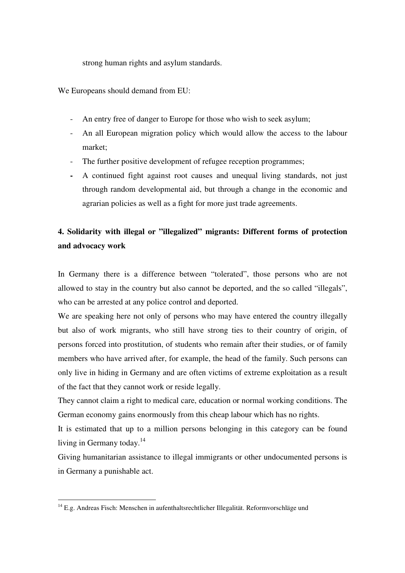strong human rights and asylum standards.

We Europeans should demand from EU:

- An entry free of danger to Europe for those who wish to seek asylum;
- An all European migration policy which would allow the access to the labour market;
- The further positive development of refugee reception programmes;
- **-** A continued fight against root causes and unequal living standards, not just through random developmental aid, but through a change in the economic and agrarian policies as well as a fight for more just trade agreements.

## **4. Solidarity with illegal or "illegalized" migrants: Different forms of protection and advocacy work**

In Germany there is a difference between "tolerated", those persons who are not allowed to stay in the country but also cannot be deported, and the so called "illegals", who can be arrested at any police control and deported.

We are speaking here not only of persons who may have entered the country illegally but also of work migrants, who still have strong ties to their country of origin, of persons forced into prostitution, of students who remain after their studies, or of family members who have arrived after, for example, the head of the family. Such persons can only live in hiding in Germany and are often victims of extreme exploitation as a result of the fact that they cannot work or reside legally.

They cannot claim a right to medical care, education or normal working conditions. The German economy gains enormously from this cheap labour which has no rights.

It is estimated that up to a million persons belonging in this category can be found living in Germany today.<sup>14</sup>

Giving humanitarian assistance to illegal immigrants or other undocumented persons is in Germany a punishable act.

<sup>&</sup>lt;sup>14</sup> E.g. Andreas Fisch: Menschen in aufenthaltsrechtlicher Illegalität. Reformvorschläge und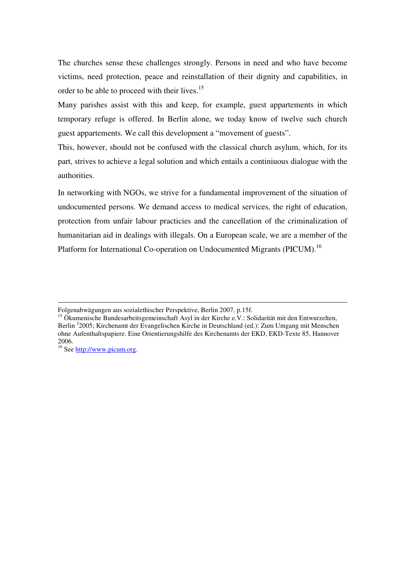The churches sense these challenges strongly. Persons in need and who have become victims, need protection, peace and reinstallation of their dignity and capabilities, in order to be able to proceed with their lives.<sup>15</sup>

Many parishes assist with this and keep, for example, guest appartements in which temporary refuge is offered. In Berlin alone, we today know of twelve such church guest appartements. We call this development a "movement of guests".

This, however, should not be confused with the classical church asylum, which, for its part, strives to achieve a legal solution and which entails a continiuous dialogue with the authorities.

In networking with NGOs, we strive for a fundamental improvement of the situation of undocumented persons. We demand access to medical services, the right of education, protection from unfair labour practicies and the cancellation of the criminalization of humanitarian aid in dealings with illegals. On a European scale, we are a member of the Platform for International Co-operation on Undocumented Migrants (PICUM).<sup>16</sup>

1

Folgenabwägungen aus sozialethischer Perspektive, Berlin 2007, p.15f.

<sup>&</sup>lt;sup>15</sup> Ökumenische Bundesarbeitsgemeinschaft Asyl in der Kirche e.V.: Solidarität mit den Entwurzelten, Berlin <sup>2</sup>2005; Kirchenamt der Evangelischen Kirche in Deutschland (ed.): Zum Umgang mit Menschen ohne Aufenthaltspapiere. Eine Orientierungshilfe des Kirchenamts der EKD, EKD-Texte 85, Hannover 2006.

<sup>16</sup> See http://www.picum.org.